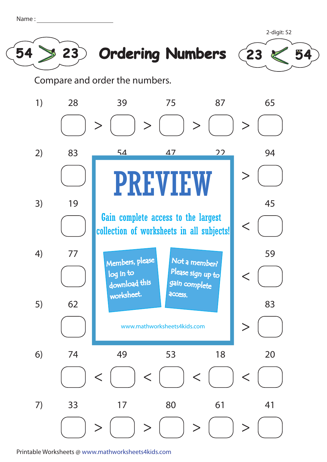| Name |  |
|------|--|
|      |  |







Compare and order the numbers.



Printable Worksheets @ www.mathworksheets4kids.com